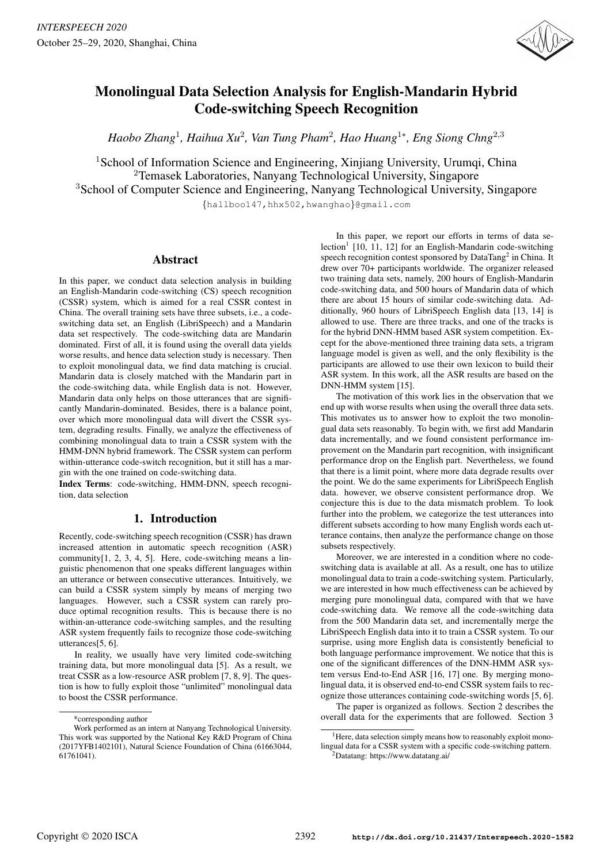

# Monolingual Data Selection Analysis for English-Mandarin Hybrid Code-switching Speech Recognition

*Haobo Zhang*<sup>1</sup> *, Haihua Xu*<sup>2</sup> *, Van Tung Pham*<sup>2</sup> *, Hao Huang*<sup>1</sup><sup>∗</sup> *, Eng Siong Chng*<sup>2</sup>,<sup>3</sup>

<sup>1</sup> School of Information Science and Engineering, Xinjiang University, Urumqi, China <sup>2</sup>Temasek Laboratories, Nanyang Technological University, Singapore <sup>3</sup>School of Computer Science and Engineering, Nanyang Technological University, Singapore

{hallboo147,hhx502,hwanghao}@gmail.com

# Abstract

In this paper, we conduct data selection analysis in building an English-Mandarin code-switching (CS) speech recognition (CSSR) system, which is aimed for a real CSSR contest in China. The overall training sets have three subsets, i.e., a codeswitching data set, an English (LibriSpeech) and a Mandarin data set respectively. The code-switching data are Mandarin dominated. First of all, it is found using the overall data yields worse results, and hence data selection study is necessary. Then to exploit monolingual data, we find data matching is crucial. Mandarin data is closely matched with the Mandarin part in the code-switching data, while English data is not. However, Mandarin data only helps on those utterances that are significantly Mandarin-dominated. Besides, there is a balance point, over which more monolingual data will divert the CSSR system, degrading results. Finally, we analyze the effectiveness of combining monolingual data to train a CSSR system with the HMM-DNN hybrid framework. The CSSR system can perform within-utterance code-switch recognition, but it still has a margin with the one trained on code-switching data.

Index Terms: code-switching, HMM-DNN, speech recognition, data selection

# 1. Introduction

Recently, code-switching speech recognition (CSSR) has drawn increased attention in automatic speech recognition (ASR) community[1, 2, 3, 4, 5]. Here, code-switching means a linguistic phenomenon that one speaks different languages within an utterance or between consecutive utterances. Intuitively, we can build a CSSR system simply by means of merging two languages. However, such a CSSR system can rarely produce optimal recognition results. This is because there is no within-an-utterance code-switching samples, and the resulting ASR system frequently fails to recognize those code-switching utterances[5, 6].

In reality, we usually have very limited code-switching training data, but more monolingual data [5]. As a result, we treat CSSR as a low-resource ASR problem [7, 8, 9]. The question is how to fully exploit those "unlimited" monolingual data to boost the CSSR performance.

In this paper, we report our efforts in terms of data selection<sup>1</sup> [10, 11, 12] for an English-Mandarin code-switching speech recognition contest sponsored by DataTang<sup>2</sup> in China. It drew over 70+ participants worldwide. The organizer released two training data sets, namely, 200 hours of English-Mandarin code-switching data, and 500 hours of Mandarin data of which there are about 15 hours of similar code-switching data. Additionally, 960 hours of LibriSpeech English data [13, 14] is allowed to use. There are three tracks, and one of the tracks is for the hybrid DNN-HMM based ASR system competition. Except for the above-mentioned three training data sets, a trigram language model is given as well, and the only flexibility is the participants are allowed to use their own lexicon to build their ASR system. In this work, all the ASR results are based on the DNN-HMM system [15].

The motivation of this work lies in the observation that we end up with worse results when using the overall three data sets. This motivates us to answer how to exploit the two monolingual data sets reasonably. To begin with, we first add Mandarin data incrementally, and we found consistent performance improvement on the Mandarin part recognition, with insignificant performance drop on the English part. Nevertheless, we found that there is a limit point, where more data degrade results over the point. We do the same experiments for LibriSpeech English data. however, we observe consistent performance drop. We conjecture this is due to the data mismatch problem. To look further into the problem, we categorize the test utterances into different subsets according to how many English words each utterance contains, then analyze the performance change on those subsets respectively.

Moreover, we are interested in a condition where no codeswitching data is available at all. As a result, one has to utilize monolingual data to train a code-switching system. Particularly, we are interested in how much effectiveness can be achieved by merging pure monolingual data, compared with that we have code-switching data. We remove all the code-switching data from the 500 Mandarin data set, and incrementally merge the LibriSpeech English data into it to train a CSSR system. To our surprise, using more English data is consistently beneficial to both language performance improvement. We notice that this is one of the significant differences of the DNN-HMM ASR system versus End-to-End ASR [16, 17] one. By merging monolingual data, it is observed end-to-end CSSR system fails to recognize those utterances containing code-switching words [5, 6].

The paper is organized as follows. Section 2 describes the overall data for the experiments that are followed. Section 3

<sup>\*</sup>corresponding author

Work performed as an intern at Nanyang Technological University. This work was supported by the National Key R&D Program of China (2017YFB1402101), Natural Science Foundation of China (61663044, 61761041).

 $<sup>1</sup>$  Here, data selection simply means how to reasonably exploit mono-</sup> lingual data for a CSSR system with a specific code-switching pattern. <sup>2</sup>Datatang: https://www.datatang.ai/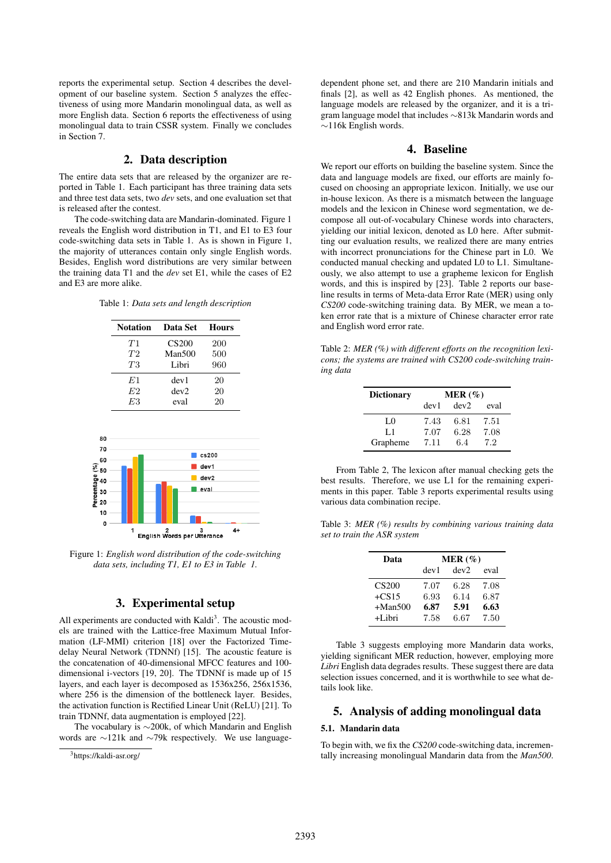reports the experimental setup. Section 4 describes the development of our baseline system. Section 5 analyzes the effectiveness of using more Mandarin monolingual data, as well as more English data. Section 6 reports the effectiveness of using monolingual data to train CSSR system. Finally we concludes in Section 7.

# 2. Data description

The entire data sets that are released by the organizer are reported in Table 1. Each participant has three training data sets and three test data sets, two *dev* sets, and one evaluation set that is released after the contest.

The code-switching data are Mandarin-dominated. Figure 1 reveals the English word distribution in T1, and E1 to E3 four code-switching data sets in Table 1. As is shown in Figure 1, the majority of utterances contain only single English words. Besides, English word distributions are very similar between the training data T1 and the *dev* set E1, while the cases of E2 and E3 are more alike.

|  |  |  |  |  | Table 1: Data sets and length description |
|--|--|--|--|--|-------------------------------------------|
|--|--|--|--|--|-------------------------------------------|

| <b>Notation</b> | Data Set          | <b>Hours</b> |
|-----------------|-------------------|--------------|
| T1              | CS <sub>200</sub> | 200          |
| T2              | Man500            | 500          |
| T3              | Libri             | 960          |
| E1              | dev 1             | 20           |
| E2              | dev2              | 20           |
| E3              | eval              | 20           |



Figure 1: *English word distribution of the code-switching data sets, including T1, E1 to E3 in Table 1.*

## 3. Experimental setup

All experiments are conducted with Kaldi<sup>3</sup>. The acoustic models are trained with the Lattice-free Maximum Mutual Information (LF-MMI) criterion [18] over the Factorized Timedelay Neural Network (TDNNf) [15]. The acoustic feature is the concatenation of 40-dimensional MFCC features and 100 dimensional i-vectors [19, 20]. The TDNNf is made up of 15 layers, and each layer is decomposed as 1536x256, 256x1536, where 256 is the dimension of the bottleneck layer. Besides, the activation function is Rectified Linear Unit (ReLU) [21]. To train TDNNf, data augmentation is employed [22].

The vocabulary is ∼200k, of which Mandarin and English words are ∼121k and ∼79k respectively. We use languagedependent phone set, and there are 210 Mandarin initials and finals [2], as well as 42 English phones. As mentioned, the language models are released by the organizer, and it is a trigram language model that includes ∼813k Mandarin words and ∼116k English words.

### 4. Baseline

We report our efforts on building the baseline system. Since the data and language models are fixed, our efforts are mainly focused on choosing an appropriate lexicon. Initially, we use our in-house lexicon. As there is a mismatch between the language models and the lexicon in Chinese word segmentation, we decompose all out-of-vocabulary Chinese words into characters, yielding our initial lexicon, denoted as L0 here. After submitting our evaluation results, we realized there are many entries with incorrect pronunciations for the Chinese part in L0. We conducted manual checking and updated L0 to L1. Simultaneously, we also attempt to use a grapheme lexicon for English words, and this is inspired by [23]. Table 2 reports our baseline results in terms of Meta-data Error Rate (MER) using only *CS200* code-switching training data. By MER, we mean a token error rate that is a mixture of Chinese character error rate and English word error rate.

Table 2: *MER (%) with different efforts on the recognition lexicons; the systems are trained with CS200 code-switching training data*

| <b>Dictionary</b> | MER(%) |      |      |
|-------------------|--------|------|------|
|                   | dev1   | dev2 | eval |
| LO                | 7.43   | 6.81 | 7.51 |
| L1                | 7.07   | 6.28 | 7.08 |
| Grapheme          | 7.11   | 6.4  | 7.2  |

From Table 2, The lexicon after manual checking gets the best results. Therefore, we use L1 for the remaining experiments in this paper. Table 3 reports experimental results using various data combination recipe.

Table 3: *MER (%) results by combining various training data set to train the ASR system*

| Data         | MER $(\%)$ |      |      |  |
|--------------|------------|------|------|--|
|              | dev1       | dev2 | eval |  |
| <b>CS200</b> | 7.07       | 6.28 | 7.08 |  |
| $+CS15$      | 6.93       | 6.14 | 6.87 |  |
| $+Man500$    | 6.87       | 5.91 | 6.63 |  |
| +Libri       | 7.58       | 6.67 | 7.50 |  |

Table 3 suggests employing more Mandarin data works, yielding significant MER reduction, however, employing more *Libri* English data degrades results. These suggest there are data selection issues concerned, and it is worthwhile to see what details look like.

# 5. Analysis of adding monolingual data

#### 5.1. Mandarin data

To begin with, we fix the *CS200* code-switching data, incrementally increasing monolingual Mandarin data from the *Man500*.

<sup>3</sup>https://kaldi-asr.org/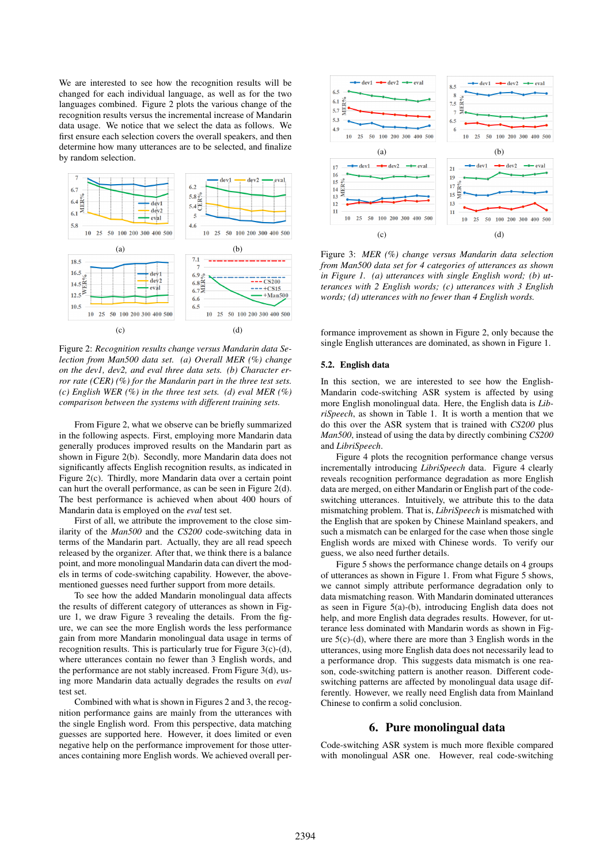We are interested to see how the recognition results will be changed for each individual language, as well as for the two languages combined. Figure 2 plots the various change of the recognition results versus the incremental increase of Mandarin data usage. We notice that we select the data as follows. We first ensure each selection covers the overall speakers, and then determine how many utterances are to be selected, and finalize by random selection.



Figure 2: *Recognition results change versus Mandarin data Selection from Man500 data set. (a) Overall MER (%) change on the dev1, dev2, and eval three data sets. (b) Character error rate (CER) (%) for the Mandarin part in the three test sets. (c) English WER (%) in the three test sets. (d) eval MER (%) comparison between the systems with different training sets.*

From Figure 2, what we observe can be briefly summarized in the following aspects. First, employing more Mandarin data generally produces improved results on the Mandarin part as shown in Figure 2(b). Secondly, more Mandarin data does not significantly affects English recognition results, as indicated in Figure 2(c). Thirdly, more Mandarin data over a certain point can hurt the overall performance, as can be seen in Figure 2(d). The best performance is achieved when about 400 hours of Mandarin data is employed on the *eval* test set.

First of all, we attribute the improvement to the close similarity of the *Man500* and the *CS200* code-switching data in terms of the Mandarin part. Actually, they are all read speech released by the organizer. After that, we think there is a balance point, and more monolingual Mandarin data can divert the models in terms of code-switching capability. However, the abovementioned guesses need further support from more details.

To see how the added Mandarin monolingual data affects the results of different category of utterances as shown in Figure 1, we draw Figure 3 revealing the details. From the figure, we can see the more English words the less performance gain from more Mandarin monolingual data usage in terms of recognition results. This is particularly true for Figure 3(c)-(d), where utterances contain no fewer than 3 English words, and the performance are not stably increased. From Figure 3(d), using more Mandarin data actually degrades the results on *eval* test set.

Combined with what is shown in Figures 2 and 3, the recognition performance gains are mainly from the utterances with the single English word. From this perspective, data matching guesses are supported here. However, it does limited or even negative help on the performance improvement for those utterances containing more English words. We achieved overall per-



Figure 3: *MER (%) change versus Mandarin data selection from Man500 data set for 4 categories of utterances as shown in Figure 1. (a) utterances with single English word; (b) utterances with 2 English words; (c) utterances with 3 English words; (d) utterances with no fewer than 4 English words.*

formance improvement as shown in Figure 2, only because the single English utterances are dominated, as shown in Figure 1.

#### 5.2. English data

In this section, we are interested to see how the English-Mandarin code-switching ASR system is affected by using more English monolingual data. Here, the English data is *LibriSpeech*, as shown in Table 1. It is worth a mention that we do this over the ASR system that is trained with *CS200* plus *Man500*, instead of using the data by directly combining *CS200* and *LibriSpeech*.

Figure 4 plots the recognition performance change versus incrementally introducing *LibriSpeech* data. Figure 4 clearly reveals recognition performance degradation as more English data are merged, on either Mandarin or English part of the codeswitching utterances. Intuitively, we attribute this to the data mismatching problem. That is, *LibriSpeech* is mismatched with the English that are spoken by Chinese Mainland speakers, and such a mismatch can be enlarged for the case when those single English words are mixed with Chinese words. To verify our guess, we also need further details.

Figure 5 shows the performance change details on 4 groups of utterances as shown in Figure 1. From what Figure 5 shows, we cannot simply attribute performance degradation only to data mismatching reason. With Mandarin dominated utterances as seen in Figure 5(a)-(b), introducing English data does not help, and more English data degrades results. However, for utterance less dominated with Mandarin words as shown in Figure  $5(c)-(d)$ , where there are more than 3 English words in the utterances, using more English data does not necessarily lead to a performance drop. This suggests data mismatch is one reason, code-switching pattern is another reason. Different codeswitching patterns are affected by monolingual data usage differently. However, we really need English data from Mainland Chinese to confirm a solid conclusion.

#### 6. Pure monolingual data

Code-switching ASR system is much more flexible compared with monolingual ASR one. However, real code-switching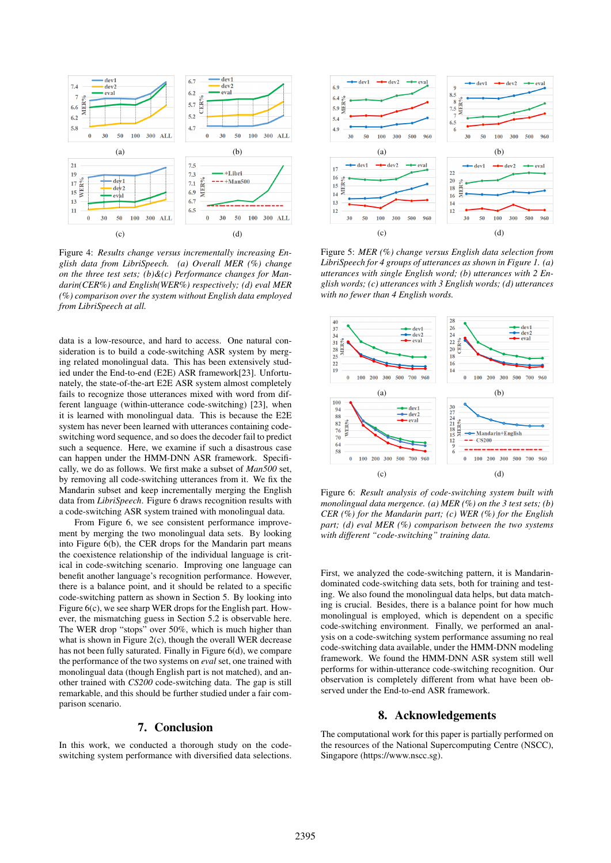

Figure 4: *Results change versus incrementally increasing English data from LibriSpeech. (a) Overall MER (%) change on the three test sets; (b)&(c) Performance changes for Mandarin(CER%) and English(WER%) respectively; (d) eval MER (%) comparison over the system without English data employed from LibriSpeech at all.*

data is a low-resource, and hard to access. One natural consideration is to build a code-switching ASR system by merging related monolingual data. This has been extensively studied under the End-to-end (E2E) ASR framework[23]. Unfortunately, the state-of-the-art E2E ASR system almost completely fails to recognize those utterances mixed with word from different language (within-utterance code-switching) [23], when it is learned with monolingual data. This is because the E2E system has never been learned with utterances containing codeswitching word sequence, and so does the decoder fail to predict such a sequence. Here, we examine if such a disastrous case can happen under the HMM-DNN ASR framework. Specifically, we do as follows. We first make a subset of *Man500* set, by removing all code-switching utterances from it. We fix the Mandarin subset and keep incrementally merging the English data from *LibriSpeech*. Figure 6 draws recognition results with a code-switching ASR system trained with monolingual data.

From Figure 6, we see consistent performance improvement by merging the two monolingual data sets. By looking into Figure 6(b), the CER drops for the Mandarin part means the coexistence relationship of the individual language is critical in code-switching scenario. Improving one language can benefit another language's recognition performance. However, there is a balance point, and it should be related to a specific code-switching pattern as shown in Section 5. By looking into Figure 6(c), we see sharp WER drops for the English part. However, the mismatching guess in Section 5.2 is observable here. The WER drop "stops" over 50%, which is much higher than what is shown in Figure 2(c), though the overall WER decrease has not been fully saturated. Finally in Figure 6(d), we compare the performance of the two systems on *eval* set, one trained with monolingual data (though English part is not matched), and another trained with *CS200* code-switching data. The gap is still remarkable, and this should be further studied under a fair comparison scenario.

## 7. Conclusion

In this work, we conducted a thorough study on the codeswitching system performance with diversified data selections.



Figure 5: *MER (%) change versus English data selection from LibriSpeech for 4 groups of utterances as shown in Figure 1. (a) utterances with single English word; (b) utterances with 2 English words; (c) utterances with 3 English words; (d) utterances with no fewer than 4 English words.*



Figure 6: *Result analysis of code-switching system built with monolingual data mergence. (a) MER (%) on the 3 test sets; (b) CER (%) for the Mandarin part; (c) WER (%) for the English part; (d) eval MER (%) comparison between the two systems with different "code-switching" training data.*

First, we analyzed the code-switching pattern, it is Mandarindominated code-switching data sets, both for training and testing. We also found the monolingual data helps, but data matching is crucial. Besides, there is a balance point for how much monolingual is employed, which is dependent on a specific code-switching environment. Finally, we performed an analysis on a code-switching system performance assuming no real code-switching data available, under the HMM-DNN modeling framework. We found the HMM-DNN ASR system still well performs for within-utterance code-switching recognition. Our observation is completely different from what have been observed under the End-to-end ASR framework.

# 8. Acknowledgements

The computational work for this paper is partially performed on the resources of the National Supercomputing Centre (NSCC), Singapore (https://www.nscc.sg).